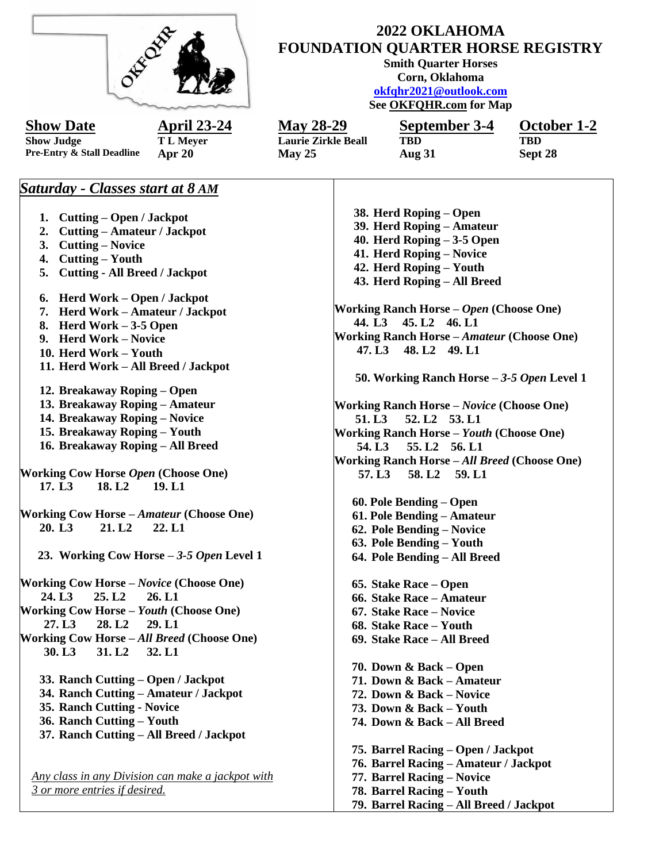| W. Oxp.                                                                      | 2022 OKLAHOMA<br><b>FOUNDATION QUARTER HORSE REGISTRY</b><br><b>Smith Quarter Horses</b><br>Corn, Oklahoma<br>okfqhr2021@outlook.com<br>See OKFQHR.com for Map |                                                         |                       |  |
|------------------------------------------------------------------------------|----------------------------------------------------------------------------------------------------------------------------------------------------------------|---------------------------------------------------------|-----------------------|--|
| <u>April 23-24</u><br><b>Show Date</b>                                       | <u>May 28-29</u>                                                                                                                                               | September 3-4                                           | October 1-2           |  |
| <b>Show Judge</b><br><b>TL Meyer</b><br>Pre-Entry & Stall Deadline<br>Apr 20 | <b>Laurie Zirkle Beall</b><br>May 25                                                                                                                           | <b>TBD</b><br><b>Aug 31</b>                             | <b>TBD</b><br>Sept 28 |  |
| <b>Saturday - Classes start at 8 AM</b>                                      |                                                                                                                                                                |                                                         |                       |  |
| 1. Cutting – Open / Jackpot                                                  |                                                                                                                                                                | 38. Herd Roping – Open                                  |                       |  |
| <b>Cutting – Amateur / Jackpot</b><br>2.                                     | 39. Herd Roping - Amateur                                                                                                                                      |                                                         |                       |  |
| <b>Cutting – Novice</b><br>3.                                                | 40. Herd Roping $-3-5$ Open                                                                                                                                    |                                                         |                       |  |
| <b>Cutting – Youth</b><br>4.                                                 |                                                                                                                                                                | 41. Herd Roping - Novice                                |                       |  |
| <b>Cutting - All Breed / Jackpot</b><br>5.                                   |                                                                                                                                                                | 42. Herd Roping - Youth                                 |                       |  |
|                                                                              |                                                                                                                                                                | 43. Herd Roping - All Breed                             |                       |  |
| Herd Work – Open / Jackpot<br>6.                                             |                                                                                                                                                                |                                                         |                       |  |
| 7. Herd Work - Amateur / Jackpot                                             |                                                                                                                                                                | Working Ranch Horse - Open (Choose One)                 |                       |  |
| Herd Work – 3-5 Open<br>8.                                                   |                                                                                                                                                                | 44. L3 45. L2 46. L1                                    |                       |  |
| 9. Herd Work - Novice                                                        |                                                                                                                                                                | <b>Working Ranch Horse</b> - Amateur (Choose One)       |                       |  |
| 10. Herd Work - Youth                                                        |                                                                                                                                                                | 47. L3 48. L2 49. L1                                    |                       |  |
| 11. Herd Work - All Breed / Jackpot                                          |                                                                                                                                                                |                                                         |                       |  |
| 12. Breakaway Roping - Open                                                  |                                                                                                                                                                | 50. Working Ranch Horse - 3-5 Open Level 1              |                       |  |
| 13. Breakaway Roping - Amateur                                               |                                                                                                                                                                |                                                         |                       |  |
| 14. Breakaway Roping - Novice                                                | <b>Working Ranch Horse - Novice (Choose One)</b><br>52.L2 53.L1<br>51.L <sub>3</sub>                                                                           |                                                         |                       |  |
| 15. Breakaway Roping - Youth                                                 |                                                                                                                                                                | <b>Working Ranch Horse - Youth (Choose One)</b>         |                       |  |
| 16. Breakaway Roping - All Breed                                             | 54.L <sub>3</sub>                                                                                                                                              | 55.L2 56.L1                                             |                       |  |
|                                                                              |                                                                                                                                                                | Working Ranch Horse - All Breed (Choose One)            |                       |  |
| Working Cow Horse Open (Choose One)                                          | 57.L <sub>3</sub>                                                                                                                                              | 58.L <sub>2</sub><br>59.L1                              |                       |  |
| 17. L <sub>3</sub><br>18.L <sub>2</sub><br>19.L1                             |                                                                                                                                                                |                                                         |                       |  |
|                                                                              |                                                                                                                                                                | 60. Pole Bending – Open                                 |                       |  |
| Working Cow Horse - Amateur (Choose One)                                     |                                                                                                                                                                | 61. Pole Bending - Amateur                              |                       |  |
| 20. L <sub>3</sub><br>21. L <sub>2</sub><br>22.L1                            |                                                                                                                                                                | 62. Pole Bending - Novice                               |                       |  |
|                                                                              |                                                                                                                                                                | 63. Pole Bending - Youth                                |                       |  |
| 23. Working Cow Horse – 3-5 Open Level 1                                     |                                                                                                                                                                | 64. Pole Bending - All Breed                            |                       |  |
| <b>Working Cow Horse - Novice (Choose One)</b>                               |                                                                                                                                                                | 65. Stake Race – Open                                   |                       |  |
| 24. L <sub>3</sub><br>25. L2<br>26. L1                                       |                                                                                                                                                                | 66. Stake Race - Amateur                                |                       |  |
| <b>Working Cow Horse - Youth (Choose One)</b>                                |                                                                                                                                                                | 67. Stake Race - Novice                                 |                       |  |
| 28.L <sub>2</sub><br>27. L3<br>29.L1                                         |                                                                                                                                                                | 68. Stake Race - Youth                                  |                       |  |
| Working Cow Horse - All Breed (Choose One)                                   |                                                                                                                                                                | 69. Stake Race - All Breed                              |                       |  |
| 31. L <sub>2</sub><br>30. L3<br>32. L1                                       |                                                                                                                                                                |                                                         |                       |  |
|                                                                              |                                                                                                                                                                | 70. Down & Back – Open                                  |                       |  |
| 33. Ranch Cutting – Open / Jackpot                                           |                                                                                                                                                                | 71. Down & Back - Amateur                               |                       |  |
| 34. Ranch Cutting - Amateur / Jackpot                                        |                                                                                                                                                                | 72. Down & Back - Novice                                |                       |  |
| 35. Ranch Cutting - Novice                                                   |                                                                                                                                                                | 73. Down & Back - Youth                                 |                       |  |
| 36. Ranch Cutting - Youth                                                    |                                                                                                                                                                | 74. Down & Back - All Breed                             |                       |  |
| 37. Ranch Cutting - All Breed / Jackpot                                      |                                                                                                                                                                |                                                         |                       |  |
|                                                                              |                                                                                                                                                                | 75. Barrel Racing – Open / Jackpot                      |                       |  |
| Any class in any Division can make a jackpot with                            |                                                                                                                                                                | 76. Barrel Racing - Amateur / Jackpot                   |                       |  |
| 3 or more entries if desired.                                                |                                                                                                                                                                | 77. Barrel Racing – Novice<br>78. Barrel Racing - Youth |                       |  |
|                                                                              |                                                                                                                                                                | 79. Barrel Racing - All Breed / Jackpot                 |                       |  |
|                                                                              |                                                                                                                                                                |                                                         |                       |  |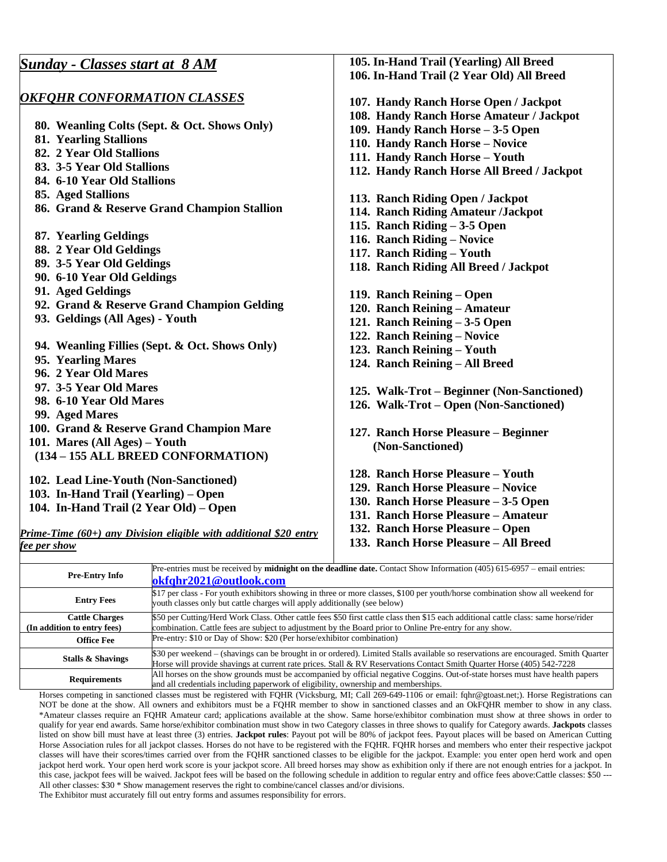| <b>Sunday - Classes start at 8 AM</b>                             | 105. In-Hand Trail (Yearling) All Breed                                                                                                |
|-------------------------------------------------------------------|----------------------------------------------------------------------------------------------------------------------------------------|
|                                                                   | 106. In-Hand Trail (2 Year Old) All Breed                                                                                              |
|                                                                   |                                                                                                                                        |
| <b>OKFOHR CONFORMATION CLASSES</b>                                | 107. Handy Ranch Horse Open / Jackpot                                                                                                  |
|                                                                   | 108. Handy Ranch Horse Amateur / Jackpot                                                                                               |
| 80. Weanling Colts (Sept. & Oct. Shows Only)                      | 109. Handy Ranch Horse - 3-5 Open                                                                                                      |
| <b>81. Yearling Stallions</b>                                     | 110. Handy Ranch Horse - Novice                                                                                                        |
| 82. 2 Year Old Stallions                                          | 111. Handy Ranch Horse - Youth                                                                                                         |
| 83. 3-5 Year Old Stallions                                        | 112. Handy Ranch Horse All Breed / Jackpot                                                                                             |
| 84. 6-10 Year Old Stallions                                       |                                                                                                                                        |
| 85. Aged Stallions                                                | 113. Ranch Riding Open / Jackpot                                                                                                       |
| 86. Grand & Reserve Grand Champion Stallion                       | 114. Ranch Riding Amateur /Jackpot                                                                                                     |
|                                                                   | 115. Ranch Riding $-3-5$ Open                                                                                                          |
| 87. Yearling Geldings                                             | 116. Ranch Riding - Novice                                                                                                             |
| 88. 2 Year Old Geldings                                           | 117. Ranch Riding - Youth                                                                                                              |
| 89. 3-5 Year Old Geldings                                         | 118. Ranch Riding All Breed / Jackpot                                                                                                  |
| 90. 6-10 Year Old Geldings                                        |                                                                                                                                        |
| 91. Aged Geldings                                                 | 119. Ranch Reining – Open                                                                                                              |
| 92. Grand & Reserve Grand Champion Gelding                        | 120. Ranch Reining - Amateur                                                                                                           |
| 93. Geldings (All Ages) - Youth                                   | 121. Ranch Reining - 3-5 Open                                                                                                          |
|                                                                   | 122. Ranch Reining - Novice                                                                                                            |
| 94. Weanling Fillies (Sept. & Oct. Shows Only)                    | 123. Ranch Reining - Youth                                                                                                             |
| 95. Yearling Mares                                                | 124. Ranch Reining - All Breed                                                                                                         |
| 96. 2 Year Old Mares                                              |                                                                                                                                        |
| 97. 3-5 Year Old Mares                                            | 125. Walk-Trot – Beginner (Non-Sanctioned)                                                                                             |
| 98. 6-10 Year Old Mares                                           | 126. Walk-Trot – Open (Non-Sanctioned)                                                                                                 |
| 99. Aged Mares                                                    |                                                                                                                                        |
| 100. Grand & Reserve Grand Champion Mare                          | 127. Ranch Horse Pleasure - Beginner                                                                                                   |
| 101. Mares (All Ages) - Youth                                     | (Non-Sanctioned)                                                                                                                       |
| (134 - 155 ALL BREED CONFORMATION)                                |                                                                                                                                        |
|                                                                   | 128. Ranch Horse Pleasure - Youth                                                                                                      |
| 102. Lead Line-Youth (Non-Sanctioned)                             | 129. Ranch Horse Pleasure - Novice                                                                                                     |
| 103. In-Hand Trail (Yearling) – Open                              | 130. Ranch Horse Pleasure - 3-5 Open                                                                                                   |
| 104. In-Hand Trail (2 Year Old) – Open                            | 131. Ranch Horse Pleasure - Amateur                                                                                                    |
|                                                                   |                                                                                                                                        |
| Prime-Time (60+) any Division eligible with additional \$20 entry | 132. Ranch Horse Pleasure - Open                                                                                                       |
| <u>fee per show</u>                                               | 133. Ranch Horse Pleasure - All Breed                                                                                                  |
|                                                                   | $\mathbb{R}^n$ optics must be received by <b>midnight on the deadline date</b> Context Show Information (405) 615, 6057, email optices |

| Pre-Entry Info                                       | Pre-entries must be received by <b>midnight on the deadline date.</b> Contact Show Information $(405)$ 615-6957 – email entries:<br>okfqhr2021@outlook.com                                                                                                   |
|------------------------------------------------------|--------------------------------------------------------------------------------------------------------------------------------------------------------------------------------------------------------------------------------------------------------------|
| <b>Entry Fees</b>                                    | \$17 per class - For youth exhibitors showing in three or more classes, \$100 per youth/horse combination show all weekend for<br>youth classes only but cattle charges will apply additionally (see below)                                                  |
| <b>Cattle Charges</b><br>(In addition to entry fees) | \$50 per Cutting/Herd Work Class. Other cattle fees \$50 first cattle class then \$15 each additional cattle class: same horse/rider<br>combination. Cattle fees are subject to adjustment by the Board prior to Online Pre-entry for any show.              |
| <b>Office Fee</b>                                    | Pre-entry: \$10 or Day of Show: \$20 (Per horse/exhibitor combination)                                                                                                                                                                                       |
| Stalls & Shavings                                    | \$30 per weekend - (shavings can be brought in or ordered). Limited Stalls available so reservations are encouraged. Smith Quarter<br>Horse will provide shavings at current rate prices. Stall & RV Reservations Contact Smith Quarter Horse (405) 542-7228 |
| <b>Requirements</b>                                  | All horses on the show grounds must be accompanied by official negative Coggins. Out-of-state horses must have health papers<br>and all credentials including paperwork of eligibility, ownership and memberships.                                           |

Horses competing in sanctioned classes must be registered with FQHR (Vicksburg, MI; Call 269-649-1106 or email: fqhr@gtoast.net;). Horse Registrations can NOT be done at the show. All owners and exhibitors must be a FQHR member to show in sanctioned classes and an OkFQHR member to show in any class. \*Amateur classes require an FQHR Amateur card; applications available at the show. Same horse/exhibitor combination must show at three shows in order to qualify for year end awards. Same horse/exhibitor combination must show in two Category classes in three shows to qualify for Category awards. **Jackpots** classes listed on show bill must have at least three (3) entries. **Jackpot rules**: Payout pot will be 80% of jackpot fees. Payout places will be based on American Cutting Horse Association rules for all jackpot classes. Horses do not have to be registered with the FQHR. FQHR horses and members who enter their respective jackpot classes will have their scores/times carried over from the FQHR sanctioned classes to be eligible for the jackpot. Example: you enter open herd work and open jackpot herd work. Your open herd work score is your jackpot score. All breed horses may show as exhibition only if there are not enough entries for a jackpot. In this case, jackpot fees will be waived. Jackpot fees will be based on the following schedule in addition to regular entry and office fees above:Cattle classes: \$50 --- All other classes: \$30 \* Show management reserves the right to combine/cancel classes and/or divisions.

The Exhibitor must accurately fill out entry forms and assumes responsibility for errors.